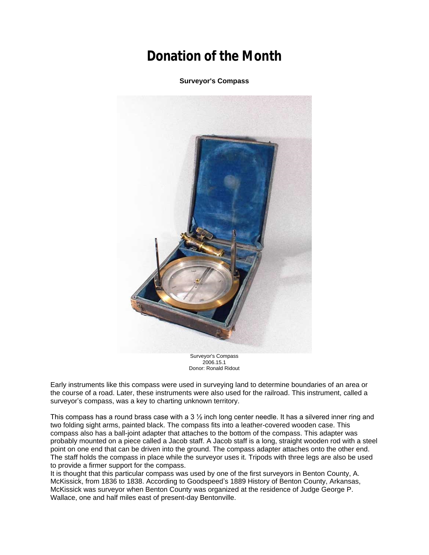## **Donation of the Month**

**Surveyor's Compass**



Surveyor's Compass 2006.15.1 Donor: Ronald Ridout

Early instruments like this compass were used in surveying land to determine boundaries of an area or the course of a road. Later, these instruments were also used for the railroad. This instrument, called a surveyor's compass, was a key to charting unknown territory.

This compass has a round brass case with a 3 ½ inch long center needle. It has a silvered inner ring and two folding sight arms, painted black. The compass fits into a leather-covered wooden case. This compass also has a ball-joint adapter that attaches to the bottom of the compass. This adapter was probably mounted on a piece called a Jacob staff. A Jacob staff is a long, straight wooden rod with a steel point on one end that can be driven into the ground. The compass adapter attaches onto the other end. The staff holds the compass in place while the surveyor uses it. Tripods with three legs are also be used to provide a firmer support for the compass.

It is thought that this particular compass was used by one of the first surveyors in Benton County, A. McKissick, from 1836 to 1838. According to Goodspeed's 1889 History of Benton County, Arkansas, McKissick was surveyor when Benton County was organized at the residence of Judge George P. Wallace, one and half miles east of present-day Bentonville.